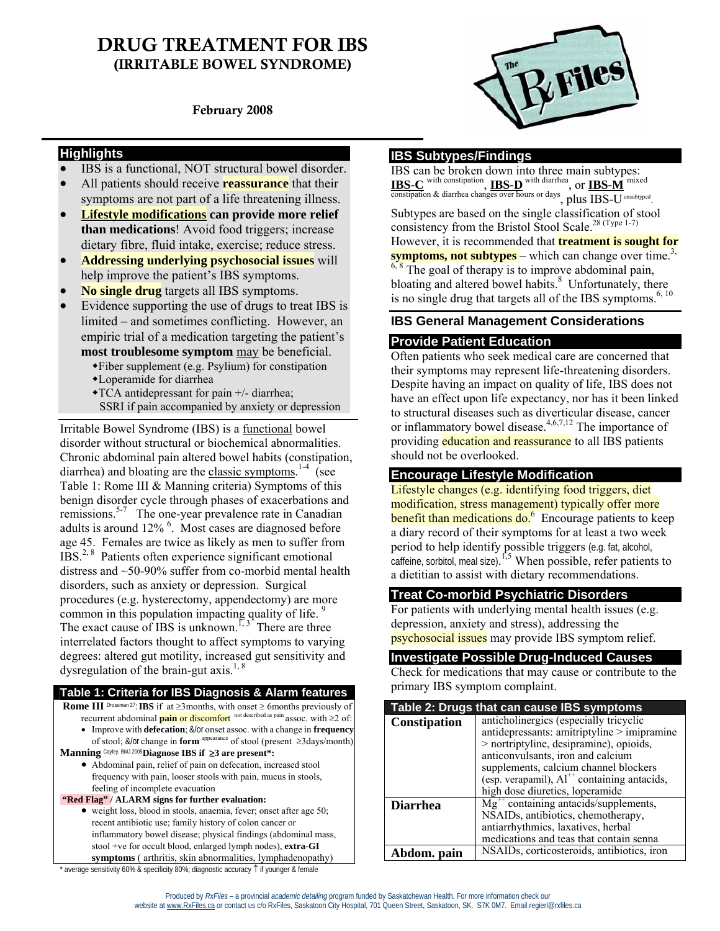# DRUG TREATMENT FOR IBS (IRRITABLE BOWEL SYNDROME)

February 2008

#### **Highlights**

- IBS is a functional, NOT structural bowel disorder.
- All patients should receive **reassurance** that their symptoms are not part of a life threatening illness.
- **Lifestyle modifications can provide more relief than medications**! Avoid food triggers; increase dietary fibre, fluid intake, exercise; reduce stress.
- **Addressing underlying psychosocial issues** will help improve the patient's IBS symptoms.
- **No single drug** targets all IBS symptoms.
- Evidence supporting the use of drugs to treat IBS is limited – and sometimes conflicting. However, an empiric trial of a medication targeting the patient's **most troublesome symptom** may be beneficial.
	- Fiber supplement (e.g. Psylium) for constipation
	- Loperamide for diarrhea
	- TCA antidepressant for pain +/- diarrhea;
	- SSRI if pain accompanied by anxiety or depression

Irritable Bowel Syndrome (IBS) is a functional bowel disorder without structural or biochemical abnormalities. Chronic abdominal pain altered bowel habits (constipation, diarrhea) and bloating are the classic symptoms.<sup>1-4</sup> (see Table 1: Rome III & Manning criteria) Symptoms of this benign disorder cycle through phases of exacerbations and remissions.<sup>5-7</sup> The one-year prevalence rate in Canadian adults is around 12%<sup>6</sup>. Most cases are diagnosed before age 45. Females are twice as likely as men to suffer from IBS.2, 8 Patients often experience significant emotional distress and ~50-90% suffer from co-morbid mental health disorders, such as anxiety or depression. Surgical procedures (e.g. hysterectomy, appendectomy) are more common in this population impacting quality of life.<sup>9</sup> The exact cause of IBS is unknown.<sup>1, 3</sup> There are three interrelated factors thought to affect symptoms to varying degrees: altered gut motility, increased gut sensitivity and dysregulation of the brain-gut axis.<sup>1, 8</sup>

#### **Table 1: Criteria for IBS Diagnosis & Alarm features**

 **Rome III** Drossman 27:**IBS** if at ≥3months, with onset ≥ 6months previously of recurrent abdominal **pain** or discomfort not described as pain assoc. with ≥2 of:

- Improve with **defecation**; &/or onset assoc. with a change in **frequency** of stool; &/or change in **form** appearance of stool (present ≥3days/month)
- **Manning** Cayley, BMJ 2005**Diagnose IBS if** ≥**3 are present\*:** 
	- Abdominal pain, relief of pain on defecation, increased stool frequency with pain, looser stools with pain, mucus in stools, feeling of incomplete evacuation

 **"Red Flag" / ALARM signs for further evaluation:** 

• weight loss, blood in stools, anaemia, fever; onset after age 50; recent antibiotic use; family history of colon cancer or inflammatory bowel disease; physical findings (abdominal mass, stool +ve for occult blood, enlarged lymph nodes), **extra-GI symptoms** ( arthritis, skin abnormalities, lymphadenopathy)

```
File
```
# **IBS Subtypes/Findings**

IBS can be broken down into three main subtypes: **IBS-C** with constipation, **IBS-D** with diarrhea , or **IBS-M** mixed constipation & diarrhea changes over hours or days, plus IBS-U unsubtyped. Subtypes are based on the single classification of stool

consistency from the Bristol Stool Scale.<sup>28 (Type 1-7)</sup>

However, it is recommended that **treatment is sought for symptoms, not subtypes** – which can change over time.<sup>3,</sup>

 $6, 8$  The goal of therapy is to improve abdominal pain, bloating and altered bowel habits.<sup>8</sup> Unfortunately, there is no single drug that targets all of the IBS symptoms. $6, 10$ 

#### **IBS General Management Considerations**

#### **Provide Patient Education**

Often patients who seek medical care are concerned that their symptoms may represent life-threatening disorders. Despite having an impact on quality of life, IBS does not have an effect upon life expectancy, nor has it been linked to structural diseases such as diverticular disease, cancer or inflammatory bowel disease.<sup>4,6,7,12</sup> The importance of providing education and reassurance to all IBS patients should not be overlooked.

### **Encourage Lifestyle Modification**

Lifestyle changes (e.g. identifying food triggers, diet modification, stress management) typically offer more benefit than medications do.<sup>6</sup> Encourage patients to keep a diary record of their symptoms for at least a two week period to help identify possible triggers (e.g. fat, alcohol, caffeine, sorbitol, meal size).  $^{1,5}$  When possible, refer patients to a dietitian to assist with dietary recommendations.

#### **Treat Co-morbid Psychiatric Disorders**

For patients with underlying mental health issues (e.g. depression, anxiety and stress), addressing the psychosocial issues may provide IBS symptom relief.

#### **Investigate Possible Drug-Induced Causes**

Check for medications that may cause or contribute to the primary IBS symptom complaint.

| Table 2: Drugs that can cause IBS symptoms |                                                         |
|--------------------------------------------|---------------------------------------------------------|
| Constipation                               | anticholinergics (especially tricyclic                  |
|                                            | antidepressants: amitriptyline > imipramine             |
|                                            | > nortriptyline, desipramine), opioids,                 |
|                                            | anticonvulsants, iron and calcium                       |
|                                            | supplements, calcium channel blockers                   |
|                                            | (esp. verapamil), $Al^{++}$ containing antacids,        |
|                                            | high dose diuretics, loperamide                         |
| <b>Diarrhea</b>                            | $Mg^{++}$ containing antacids/supplements,              |
|                                            | NSAIDs, antibiotics, chemotherapy,                      |
|                                            | antiarrhythmics, laxatives, herbal                      |
|                                            | medications and teas that contain senna                 |
| Abdom. pain                                | NSAID <sub>s</sub> , corticosteroids, antibiotics, iron |

average sensitivity 60% & specificity 80%; diagnostic accuracy ↑ if younger & female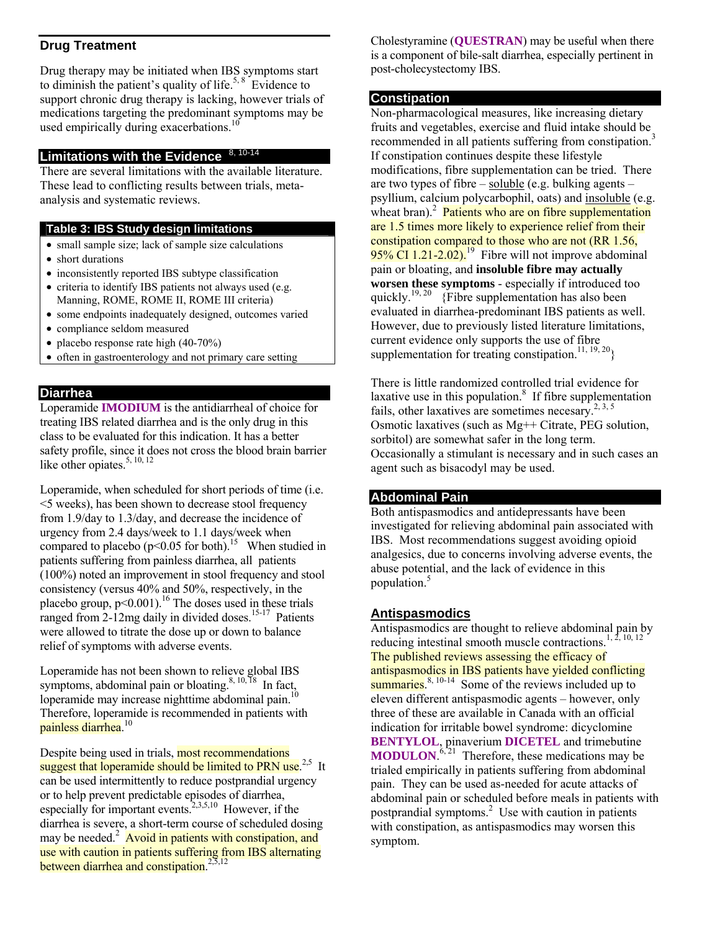#### **Drug Treatment**

Drug therapy may be initiated when IBS symptoms start to diminish the patient's quality of life.<sup>5, 8</sup> Evidence to support chronic drug therapy is lacking, however trials of medications targeting the predominant symptoms may be used empirically during exacerbations.<sup>1</sup>

#### **Limitations with the Evidence**

There are several limitations with the available literature. These lead to conflicting results between trials, metaanalysis and systematic reviews.

#### **Table 3: IBS Study design limitations**

- small sample size; lack of sample size calculations
- short durations
- inconsistently reported IBS subtype classification
- criteria to identify IBS patients not always used (e.g. Manning, ROME, ROME II, ROME III criteria)
- some endpoints inadequately designed, outcomes varied
- compliance seldom measured
- placebo response rate high (40-70%)
- often in gastroenterology and not primary care setting

#### **Diarrhea**

Loperamide **IMODIUM** is the antidiarrheal of choice for treating IBS related diarrhea and is the only drug in this class to be evaluated for this indication. It has a better safety profile, since it does not cross the blood brain barrier like other opiates. $5, 10, 12$ 

Loperamide, when scheduled for short periods of time (i.e. <5 weeks), has been shown to decrease stool frequency from 1.9/day to 1.3/day, and decrease the incidence of urgency from 2.4 days/week to 1.1 days/week when compared to placebo ( $p<0.05$  for both).<sup>15</sup> When studied in patients suffering from painless diarrhea, all patients (100%) noted an improvement in stool frequency and stool consistency (versus 40% and 50%, respectively, in the placebo group,  $p < 0.001$ ).<sup>16</sup> The doses used in these trials ranged from  $2-12$ mg daily in divided doses.<sup>15-17</sup> Patients were allowed to titrate the dose up or down to balance relief of symptoms with adverse events.

Loperamide has not been shown to relieve global IBS symptoms, abdominal pain or bloating.<sup>8, 10, 18</sup> In fact, loperamide may increase nighttime abdominal pain.10 Therefore, loperamide is recommended in patients with painless diarrhea.<sup>10</sup>

Despite being used in trials, most recommendations suggest that loperamide should be limited to PRN use.<sup>2,5</sup> It can be used intermittently to reduce postprandial urgency or to help prevent predictable episodes of diarrhea, especially for important events.<sup>2,3,5,10</sup> However, if the diarrhea is severe, a short-term course of scheduled dosing may be needed.<sup>2</sup> Avoid in patients with constipation, and use with caution in patients suffering from IBS alternating between diarrhea and constipation.<sup>2,5,12</sup>

Cholestyramine (**QUESTRAN**) may be useful when there is a component of bile-salt diarrhea, especially pertinent in post-cholecystectomy IBS.

#### **Constipation**

Non-pharmacological measures, like increasing dietary fruits and vegetables, exercise and fluid intake should be recommended in all patients suffering from constipation.<sup>3</sup> If constipation continues despite these lifestyle modifications, fibre supplementation can be tried. There are two types of fibre – soluble (e.g. bulking agents – psyllium, calcium polycarbophil, oats) and insoluble (e.g. wheat bran).<sup>2</sup> Patients who are on fibre supplementation are 1.5 times more likely to experience relief from their constipation compared to those who are not (RR 1.56, 95% CI  $1.21$ -2.02).<sup>19</sup> Fibre will not improve abdominal pain or bloating, and **insoluble fibre may actually worsen these symptoms** - especially if introduced too quickly.<sup>19, 20</sup> {Fibre supplementation has also been evaluated in diarrhea-predominant IBS patients as well. However, due to previously listed literature limitations, current evidence only supports the use of fibre supplementation for treating constipation.<sup>11, 19, 20</sup>}

There is little randomized controlled trial evidence for laxative use in this population. $\delta$  If fibre supplementation fails, other laxatives are sometimes necesary.<sup>2, 3, 5</sup> Osmotic laxatives (such as Mg++ Citrate, PEG solution, sorbitol) are somewhat safer in the long term. Occasionally a stimulant is necessary and in such cases an agent such as bisacodyl may be used.

#### **Abdominal Pain**

Both antispasmodics and antidepressants have been investigated for relieving abdominal pain associated with IBS. Most recommendations suggest avoiding opioid analgesics, due to concerns involving adverse events, the abuse potential, and the lack of evidence in this population.5

# **Antispasmodics**

Antispasmodics are thought to relieve abdominal pain by reducing intestinal smooth muscle contractions.<sup>1, 2</sup> The published reviews assessing the efficacy of antispasmodics in IBS patients have yielded conflicting summaries. $8, 10-14$  Some of the reviews included up to eleven different antispasmodic agents – however, only three of these are available in Canada with an official indication for irritable bowel syndrome: dicyclomine **BENTYLOL**, pinaverium **DICETEL** and trimebutine **MODULON.**<sup> $6, 21$ </sup> Therefore, these medications may be trialed empirically in patients suffering from abdominal pain. They can be used as-needed for acute attacks of abdominal pain or scheduled before meals in patients with postprandial symptoms.<sup>2</sup> Use with caution in patients with constipation, as antispasmodics may worsen this symptom.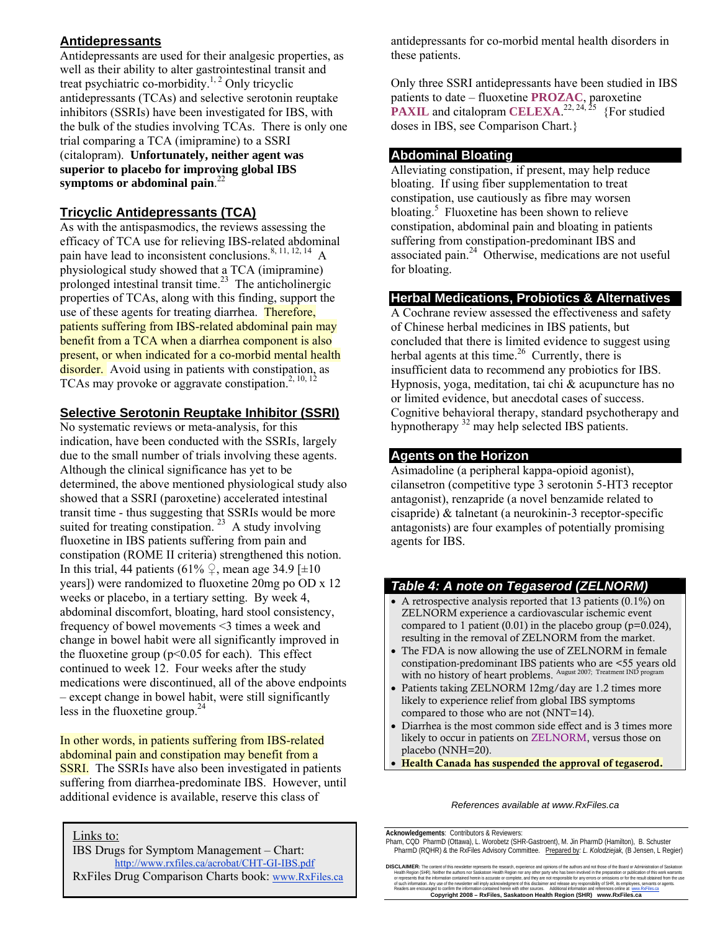# **Antidepressants**

Antidepressants are used for their analgesic properties, as well as their ability to alter gastrointestinal transit and treat psychiatric co-morbidity.<sup>1, 2</sup> Only tricyclic antidepressants (TCAs) and selective serotonin reuptake inhibitors (SSRIs) have been investigated for IBS, with the bulk of the studies involving TCAs. There is only one trial comparing a TCA (imipramine) to a SSRI (citalopram). **Unfortunately, neither agent was superior to placebo for improving global IBS symptoms or abdominal pain**. 22

# **Tricyclic Antidepressants (TCA)**

As with the antispasmodics, the reviews assessing the efficacy of TCA use for relieving IBS-related abdominal pain have lead to inconsistent conclusions.<sup>8, 11, 12, 14</sup> A physiological study showed that a TCA (imipramine) prolonged intestinal transit time. $2<sup>3</sup>$  The anticholinergic properties of TCAs, along with this finding, support the use of these agents for treating diarrhea. **Therefore**, patients suffering from IBS-related abdominal pain may benefit from a TCA when a diarrhea component is also present, or when indicated for a co-morbid mental health disorder. Avoid using in patients with constipation, as TCAs may provoke or aggravate constipation.<sup>2, 10, 12</sup>

### **Selective Serotonin Reuptake Inhibitor (SSRI)**

No systematic reviews or meta-analysis, for this indication, have been conducted with the SSRIs, largely due to the small number of trials involving these agents. Although the clinical significance has yet to be determined, the above mentioned physiological study also showed that a SSRI (paroxetine) accelerated intestinal transit time - thus suggesting that SSRIs would be more suited for treating constipation.  $2^3$  A study involving fluoxetine in IBS patients suffering from pain and constipation (ROME II criteria) strengthened this notion. In this trial, 44 patients (61%  $\Omega$ , mean age 34.9 [ $\pm$ 10] years]) were randomized to fluoxetine 20mg po OD x 12 weeks or placebo, in a tertiary setting. By week 4, abdominal discomfort, bloating, hard stool consistency, frequency of bowel movements <3 times a week and change in bowel habit were all significantly improved in the fluoxetine group ( $p<0.05$  for each). This effect continued to week 12. Four weeks after the study medications were discontinued, all of the above endpoints – except change in bowel habit, were still significantly less in the fluoxetine group. $24$ 

In other words, in patients suffering from IBS-related abdominal pain and constipation may benefit from a **SSRI.** The SSRIs have also been investigated in patients suffering from diarrhea-predominate IBS. However, until additional evidence is available, reserve this class of

Links to:

IBS Drugs for Symptom Management – Chart: http://www.rxfiles.ca/acrobat/CHT-GI-IBS.pdf RxFiles Drug Comparison Charts book: www.RxFiles.ca antidepressants for co-morbid mental health disorders in these patients.

Only three SSRI antidepressants have been studied in IBS patients to date – fluoxetine **PROZAC**, paroxetine **PAXIL** and citalopram **CELEXA.**<sup>22, 24, 25</sup> {For studied doses in IBS, see Comparison Chart.}

### **Abdominal Bloating**

Alleviating constipation, if present, may help reduce bloating. If using fiber supplementation to treat constipation, use cautiously as fibre may worsen bloating.<sup>5</sup> Fluoxetine has been shown to relieve constipation, abdominal pain and bloating in patients suffering from constipation-predominant IBS and associated pain.24 Otherwise, medications are not useful for bloating.

#### **Herbal Medications, Probiotics & Alternatives**

A Cochrane review assessed the effectiveness and safety of Chinese herbal medicines in IBS patients, but concluded that there is limited evidence to suggest using herbal agents at this time. $26$  Currently, there is insufficient data to recommend any probiotics for IBS. Hypnosis, yoga, meditation, tai chi & acupuncture has no or limited evidence, but anecdotal cases of success. Cognitive behavioral therapy, standard psychotherapy and hypnotherapy 32 may help selected IBS patients.

#### **Agents on the Horizon**

Asimadoline (a peripheral kappa-opioid agonist), cilansetron (competitive type 3 serotonin 5-HT3 receptor antagonist), renzapride (a novel benzamide related to cisapride) & talnetant (a neurokinin-3 receptor-specific antagonists) are four examples of potentially promising agents for IBS.

# *Table 4: A note on Tegaserod (ZELNORM)*

- A retrospective analysis reported that 13 patients (0.1%) on ZELNORM experience a cardiovascular ischemic event compared to 1 patient  $(0.01)$  in the placebo group  $(p=0.024)$ , resulting in the removal of ZELNORM from the market.
- The FDA is now allowing the use of ZELNORM in female constipation-predominant IBS patients who are <55 years old with no history of heart problems. August 2007; Treatment IND program
- Patients taking ZELNORM 12mg/day are 1.2 times more likely to experience relief from global IBS symptoms compared to those who are not (NNT=14).
- Diarrhea is the most common side effect and is 3 times more likely to occur in patients on ZELNORM, versus those on placebo (NNH=20).
- Health Canada has suspended the approval of tegaserod.

#### *References available at www.RxFiles.ca*

**Acknowledgements**: Contributors & Reviewers:

DISCLAIMER: The content of this newsletter represents the research, experience and opinions of the authors and not those of the Board or Administration of Saska Health Region (SHR). Neither the authors nor Saskatoon Health Region nor any other party who has been involved in the preparation or publication of this work warrants<br>or represents that the intormation condined by the mark Readers are encouraged to confirm the information contained herein with other sources. Additional information and references online at www.RxFiles.ca<br>Copyright 2008 – RxFiles, Saskatoon Health Region (SHR) www.RxFiles.ca

Pham, CQD PharmD (Ottawa), L. Worobetz (SHR-Gastroent), M. Jin PharmD (Hamilton), B. Schuster PharmD (RQHR) & the RxFiles Advisory Committee. Prepared by*: L. Kolodziejak,* (B Jensen, L Regier)